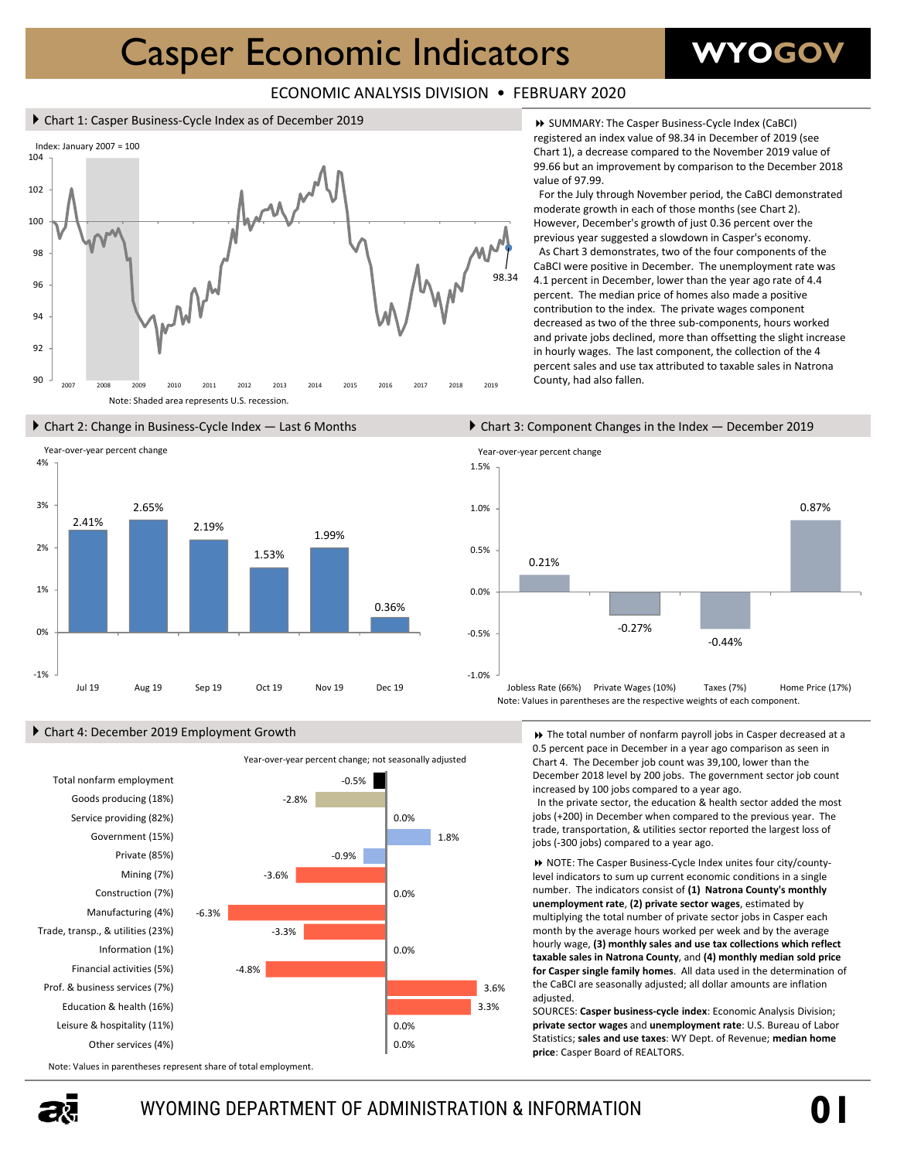# Casper Economic Indicators

## **WYOGOV**

### ECONOMIC ANALYSIS DIVISION • FEBRUARY 2020

#### ▶ Chart 1: Casper Business-Cycle Index as of December 2019





### Chart 4: December 2019 Employment Growth



 SUMMARY: The Casper Business‐Cycle Index (CaBCI) registered an index value of 98.34 in December of 2019 (see Chart 1), a decrease compared to the November 2019 value of 99.66 but an improvement by comparison to the December 2018 value of 97.99.

For the July through November period, the CaBCI demonstrated moderate growth in each of those months (see Chart 2). However, December's growth of just 0.36 percent over the previous year suggested a slowdown in Casper's economy. As Chart 3 demonstrates, two of the four components of the CaBCI were positive in December. The unemployment rate was 4.1 percent in December, lower than the year ago rate of 4.4 percent. The median price of homes also made a positive contribution to the index. The private wages component decreased as two of the three sub‐components, hours worked and private jobs declined, more than offsetting the slight increase in hourly wages. The last component, the collection of the 4 percent sales and use tax attributed to taxable sales in Natrona County, had also fallen.

#### Chart 2: Change in Business-Cycle Index — Last 6 Months Chart 3: Component Changes in the Index – December 2019



 The total number of nonfarm payroll jobs in Casper decreased at a 0.5 percent pace in December in a year ago comparison as seen in Chart 4. The December job count was 39,100, lower than the December 2018 level by 200 jobs. The government sector job count increased by 100 jobs compared to a year ago.

In the private sector, the education & health sector added the most jobs (+200) in December when compared to the previous year. The trade, transportation, & utilities sector reported the largest loss of jobs (‐300 jobs) compared to a year ago.

 NOTE: The Casper Business‐Cycle Index unites four city/county‐ level indicators to sum up current economic conditions in a single number. The indicators consist of **(1) Natrona County's monthly unemployment rate**, **(2) private sector wages**, estimated by multiplying the total number of private sector jobs in Casper each month by the average hours worked per week and by the average hourly wage, **(3) monthly sales and use tax collections which reflect taxable sales in Natrona County**, and **(4) monthly median sold price for Casper single family homes**. All data used in the determination of the CaBCI are seasonally adjusted; all dollar amounts are inflation adjusted.

SOURCES: **Casper business‐cycle index**: Economic Analysis Division; **private sector wages** and **unemployment rate**: U.S. Bureau of Labor Statistics; **sales and use taxes**: WY Dept. of Revenue; **median home price**: Casper Board of REALTORS.

Note: Values in parentheses represent share of total employment.

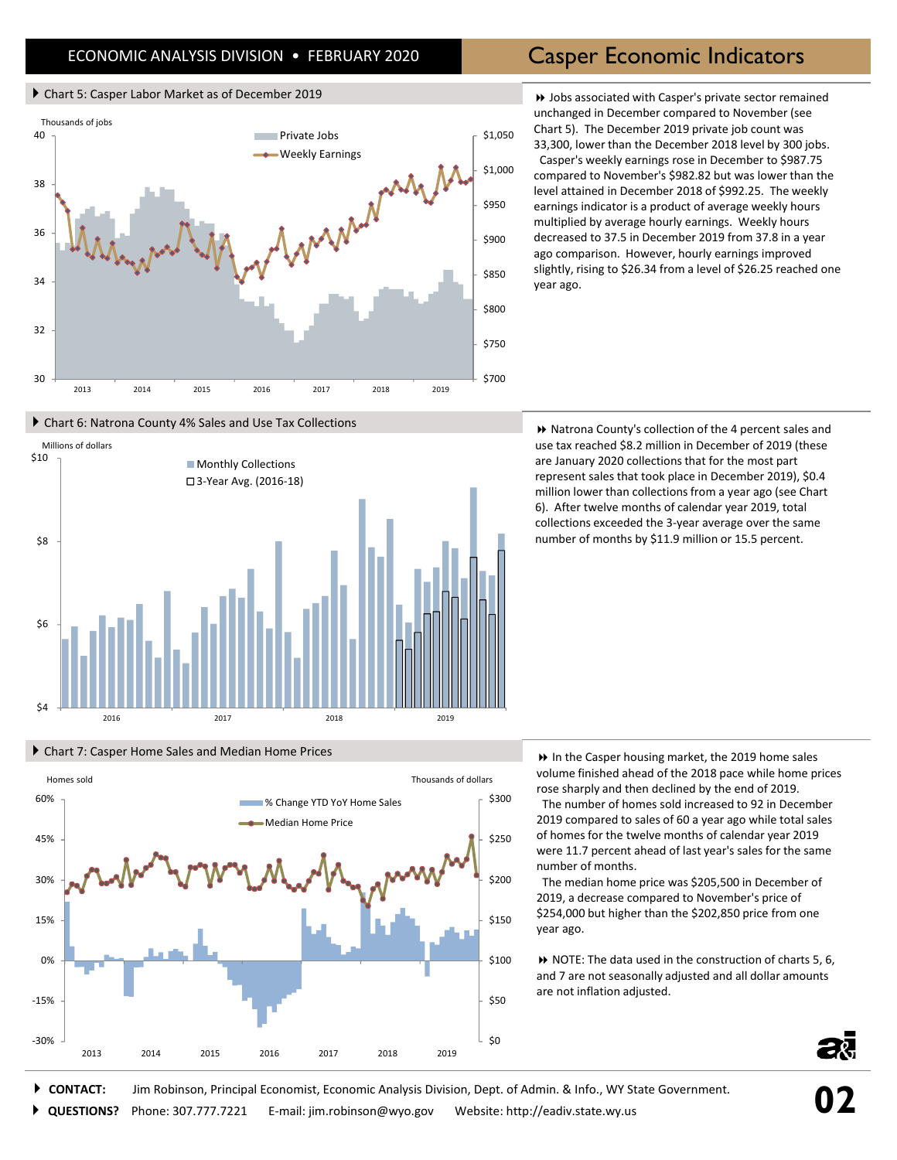## ECONOMIC ANALYSIS DIVISION . FEBRUARY 2020 **Casper Economic Indicators**

#### Chart 5: Casper Labor Market as of December 2019

Chart 6: Natrona County 4% Sales and Use Tax Collections

Chart 7: Casper Home Sales and Median Home Prices



 Jobs associated with Casper's private sector remained unchanged in December compared to November (see Chart 5). The December 2019 private job count was 33,300, lower than the December 2018 level by 300 jobs. Casper's weekly earnings rose in December to \$987.75 compared to November's \$982.82 but was lower than the level attained in December 2018 of \$992.25. The weekly earnings indicator is a product of average weekly hours multiplied by average hourly earnings. Weekly hours decreased to 37.5 in December 2019 from 37.8 in a year ago comparison. However, hourly earnings improved slightly, rising to \$26.34 from a level of \$26.25 reached one year ago.

\$4 \$6 \$8 \$10 2016 2017 2018 2019 Millions of dollars **Monthly Collections** 3‐Year Avg. (2016‐18)

Homes sold Thousands of dollars

■% Change YTD YoY Home Sales Median Home Price

 Natrona County's collection of the 4 percent sales and use tax reached \$8.2 million in December of 2019 (these are January 2020 collections that for the most part represent sales that took place in December 2019), \$0.4 million lower than collections from a year ago (see Chart 6). After twelve months of calendar year 2019, total collections exceeded the 3‐year average over the same number of months by \$11.9 million or 15.5 percent.

 In the Casper housing market, the 2019 home sales volume finished ahead of the 2018 pace while home prices rose sharply and then declined by the end of 2019.

The number of homes sold increased to 92 in December 2019 compared to sales of 60 a year ago while total sales of homes for the twelve months of calendar year 2019 were 11.7 percent ahead of last year's sales for the same number of months.

The median home price was \$205,500 in December of 2019, a decrease compared to November's price of \$254,000 but higher than the \$202,850 price from one year ago.

 NOTE: The data used in the construction of charts 5, 6, and 7 are not seasonally adjusted and all dollar amounts are not inflation adjusted.



**CONTACT:** Jim Robinson, Principal Economist, Economic Analysis Division, Dept. of Admin. & Info., WY State Government.

‐30%

‐15%

0%

15%

30%

45%

60%

2013 2014 2015 2016 2017 2018 2019

**QUESTIONS?** Phone: 307.777.7221 E‐mail: jim.robinson@wyo.gov Website: http://eadiv.state.wy.us

\$0

\$50

\$100

\$150

\$200

\$250

\$300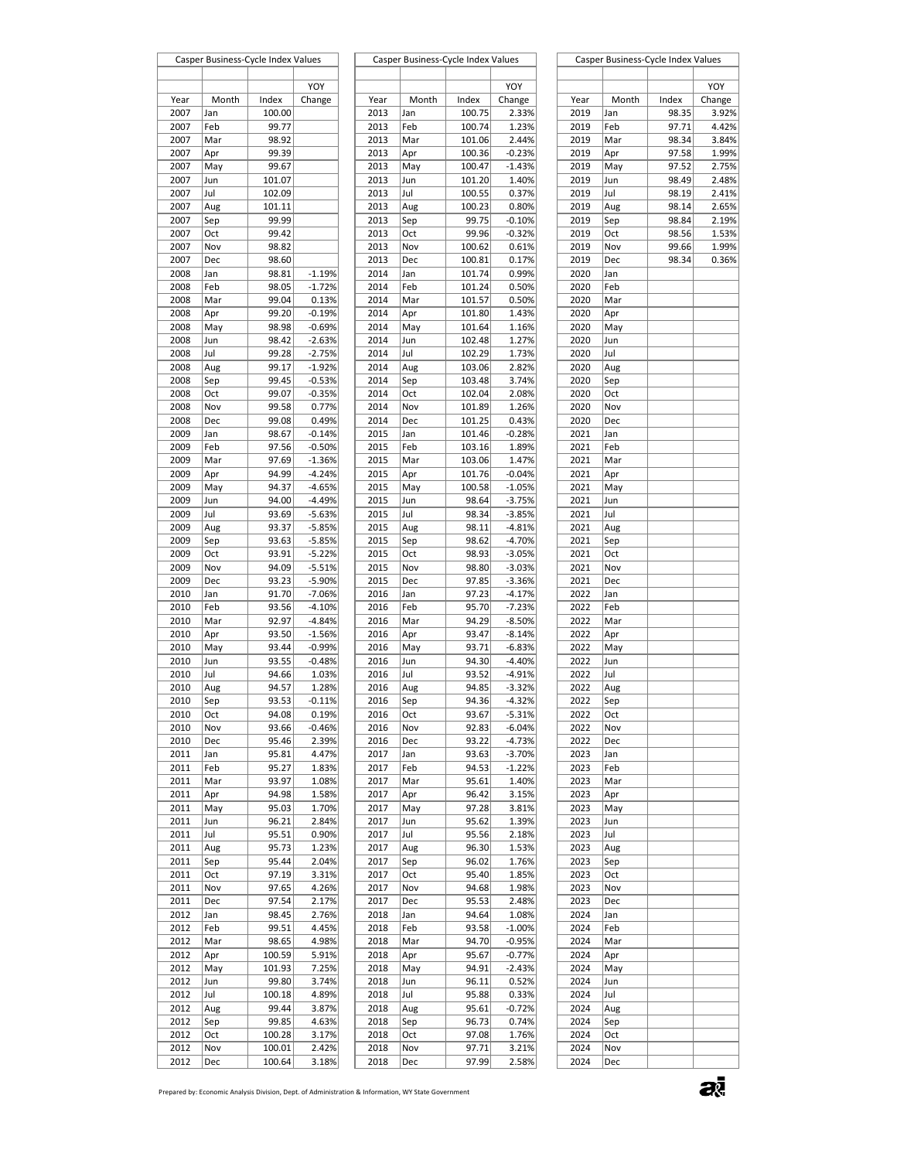|              | Casper Business-Cycle Index Values |                |                      |              | Casper Business-Cycle Index Values |                  |                |              | Casper Business-Cycle Index Values |       |        |
|--------------|------------------------------------|----------------|----------------------|--------------|------------------------------------|------------------|----------------|--------------|------------------------------------|-------|--------|
|              |                                    |                |                      |              |                                    |                  |                |              |                                    |       |        |
|              |                                    |                | YOY                  |              |                                    |                  | YOY            |              |                                    |       | YOY    |
| Year         | Month                              | Index          | Change               | Year         | Month                              | Index            | Change         | Year         | Month                              | Index | Change |
| 2007         | Jan                                | 100.00         |                      | 2013         | Jan                                | 100.75           | 2.33%          | 2019         | Jan                                | 98.35 | 3.92%  |
| 2007         | Feb                                | 99.77          |                      | 2013         | Feb                                | 100.74           | 1.23%          | 2019         | Feb                                | 97.71 | 4.42%  |
| 2007         | Mar                                | 98.92          |                      | 2013         | Mar                                | 101.06           | 2.44%          | 2019         | Mar                                | 98.34 | 3.84%  |
| 2007         | Apr                                | 99.39          |                      | 2013         | Apr                                | 100.36           | $-0.23%$       | 2019         | Apr                                | 97.58 | 1.99%  |
| 2007         | May                                | 99.67          |                      | 2013         | May                                | 100.47           | $-1.43%$       | 2019         | May                                | 97.52 | 2.75%  |
| 2007         | Jun                                | 101.07         |                      | 2013         | Jun                                | 101.20           | 1.40%          | 2019         | Jun                                | 98.49 | 2.48%  |
| 2007         | Jul                                | 102.09         |                      | 2013         | Jul                                | 100.55           | 0.37%          | 2019         | Jul                                | 98.19 | 2.41%  |
| 2007         | Aug                                | 101.11         |                      | 2013         | Aug                                | 100.23           | 0.80%          | 2019         | Aug                                | 98.14 | 2.65%  |
| 2007         | Sep                                | 99.99          |                      | 2013         | Sep                                | 99.75            | $-0.10%$       | 2019         | Sep                                | 98.84 | 2.19%  |
| 2007         | Oct                                | 99.42          |                      | 2013         | Oct                                | 99.96            | $-0.32%$       | 2019         | Oct                                | 98.56 | 1.53%  |
| 2007         | Nov                                | 98.82          |                      | 2013         | Nov                                | 100.62           | 0.61%          | 2019         | Nov                                | 99.66 | 1.99%  |
| 2007         | Dec                                | 98.60          |                      | 2013         | Dec                                | 100.81           | 0.17%          | 2019         | Dec                                | 98.34 | 0.36%  |
| 2008         | Jan                                | 98.81          | $-1.19%$             | 2014         | Jan                                | 101.74           | 0.99%          | 2020         | Jan                                |       |        |
| 2008         | Feb                                | 98.05          | $-1.72%$             | 2014         | Feb                                | 101.24           | 0.50%          | 2020         | Feb                                |       |        |
| 2008<br>2008 | Mar                                | 99.04<br>99.20 | 0.13%                | 2014<br>2014 | Mar                                | 101.57           | 0.50%<br>1.43% | 2020         | Mar                                |       |        |
|              | Apr                                |                | $-0.19%$             |              | Apr                                | 101.80           |                | 2020         | Apr                                |       |        |
| 2008<br>2008 | May                                | 98.98<br>98.42 | $-0.69%$<br>$-2.63%$ | 2014<br>2014 | May                                | 101.64<br>102.48 | 1.16%<br>1.27% | 2020<br>2020 | May<br>Jun                         |       |        |
| 2008         | Jun<br>Jul                         | 99.28          | $-2.75%$             | 2014         | Jun<br>Jul                         |                  | 1.73%          | 2020         | Jul                                |       |        |
|              |                                    |                |                      |              |                                    | 102.29           |                |              |                                    |       |        |
| 2008<br>2008 | Aug                                | 99.17          | $-1.92%$<br>$-0.53%$ | 2014<br>2014 | Aug                                | 103.06           | 2.82%<br>3.74% | 2020<br>2020 | Aug                                |       |        |
| 2008         | Sep<br>Oct                         | 99.45<br>99.07 | $-0.35%$             | 2014         | Sep<br>Oct                         | 103.48<br>102.04 | 2.08%          | 2020         | Sep<br>Oct                         |       |        |
|              |                                    |                |                      |              |                                    | 101.89           |                |              |                                    |       |        |
| 2008<br>2008 | Nov                                | 99.58<br>99.08 | 0.77%<br>0.49%       | 2014<br>2014 | Nov                                | 101.25           | 1.26%<br>0.43% | 2020<br>2020 | Nov                                |       |        |
| 2009         | Dec<br>Jan                         | 98.67          | $-0.14%$             | 2015         | Dec<br>Jan                         | 101.46           | $-0.28%$       | 2021         | Dec<br>Jan                         |       |        |
| 2009         | Feb                                | 97.56          | $-0.50%$             | 2015         | Feb                                | 103.16           | 1.89%          | 2021         | Feb                                |       |        |
| 2009         | Mar                                | 97.69          | $-1.36%$             | 2015         | Mar                                | 103.06           | 1.47%          | 2021         | Mar                                |       |        |
| 2009         | Apr                                | 94.99          | $-4.24%$             | 2015         | Apr                                | 101.76           | $-0.04%$       | 2021         | Apr                                |       |        |
| 2009         | May                                | 94.37          | $-4.65%$             | 2015         | May                                | 100.58           | $-1.05%$       | 2021         | May                                |       |        |
| 2009         | Jun                                | 94.00          | $-4.49%$             | 2015         | Jun                                | 98.64            | $-3.75%$       | 2021         | Jun                                |       |        |
| 2009         | Jul                                | 93.69          | $-5.63%$             | 2015         | Jul                                | 98.34            | $-3.85%$       | 2021         | Jul                                |       |        |
| 2009         | Aug                                | 93.37          | $-5.85%$             | 2015         | Aug                                | 98.11            | $-4.81%$       | 2021         | Aug                                |       |        |
| 2009         | Sep                                | 93.63          | $-5.85%$             | 2015         | Sep                                | 98.62            | $-4.70%$       | 2021         | Sep                                |       |        |
| 2009         | Oct                                | 93.91          | $-5.22%$             | 2015         | Oct                                | 98.93            | $-3.05%$       | 2021         | Oct                                |       |        |
| 2009         | Nov                                | 94.09          | $-5.51%$             | 2015         | Nov                                | 98.80            | $-3.03%$       | 2021         | Nov                                |       |        |
| 2009         | Dec                                | 93.23          | $-5.90%$             | 2015         | Dec                                | 97.85            | $-3.36%$       | 2021         | Dec                                |       |        |
| 2010         | Jan                                | 91.70          | $-7.06%$             | 2016         | Jan                                | 97.23            | $-4.17%$       | 2022         | Jan                                |       |        |
| 2010         | Feb                                | 93.56          | $-4.10%$             | 2016         | Feb                                | 95.70            | $-7.23%$       | 2022         | Feb                                |       |        |
| 2010         | Mar                                | 92.97          | $-4.84%$             | 2016         | Mar                                | 94.29            | $-8.50%$       | 2022         | Mar                                |       |        |
| 2010         | Apr                                | 93.50          | $-1.56%$             | 2016         | Apr                                | 93.47            | $-8.14%$       | 2022         | Apr                                |       |        |
| 2010         | May                                | 93.44          | $-0.99%$             | 2016         | May                                | 93.71            | $-6.83%$       | 2022         | May                                |       |        |
| 2010         | Jun                                | 93.55          | $-0.48%$             | 2016         | Jun                                | 94.30            | $-4.40%$       | 2022         | Jun                                |       |        |
| 2010         | Jul                                | 94.66          | 1.03%                | 2016         | Jul                                | 93.52            | $-4.91%$       | 2022         | Jul                                |       |        |
| 2010         | Aug                                | 94.57          | 1.28%                | 2016         | Aug                                | 94.85            | $-3.32%$       | 2022         | Aug                                |       |        |
| 2010         | Sep                                | 93.53          | $-0.11%$             | 2016         | Sep                                | 94.36            | $-4.32%$       | 2022         | Sep                                |       |        |
| 2010         | Oct                                | 94.08          | 0.19%                | 2016         | Oct                                | 93.67            | $-5.31%$       | 2022         | Oct                                |       |        |
| 2010         | Nov                                | 93.66          | $-0.46%$             | 2016         | Nov                                | 92.83            | $-6.04%$       | 2022         | Nov                                |       |        |
| 2010         | Dec                                | 95.46          | 2.39%                | 2016         | Dec                                | 93.22            | $-4.73%$       | 2022         | Dec                                |       |        |
| 2011         | Jan                                | 95.81          | 4.47%                | 2017         | Jan                                | 93.63            | $-3.70%$       | 2023         | Jan                                |       |        |
| 2011         | Feb                                | 95.27          | 1.83%                | 2017         | Feb                                | 94.53            | $-1.22%$       | 2023         | Feb                                |       |        |
| 2011         | Mar                                | 93.97          | 1.08%                | 2017         | Mar                                | 95.61            | 1.40%          | 2023         | Mar                                |       |        |
| 2011         | Apr                                | 94.98          | 1.58%                | 2017         | Apr                                | 96.42            | 3.15%          | 2023         | Apr                                |       |        |
| 2011         | May                                | 95.03          | 1.70%                | 2017         | May                                | 97.28            | 3.81%          | 2023         | May                                |       |        |
| 2011         | Jun                                | 96.21          | 2.84%                | 2017         | Jun                                | 95.62            | 1.39%          | 2023         | Jun                                |       |        |
| 2011         | Jul                                | 95.51          | 0.90%                | 2017         | Jul                                | 95.56            | 2.18%          | 2023         | Jul                                |       |        |
| 2011         | Aug                                | 95.73          | 1.23%                | 2017         | Aug                                | 96.30            | 1.53%          | 2023         | Aug                                |       |        |
| 2011         | Sep                                | 95.44          | 2.04%                | 2017         | Sep                                | 96.02            | 1.76%          | 2023         | Sep                                |       |        |
| 2011         | Oct                                | 97.19          | 3.31%                | 2017         | Oct                                | 95.40            | 1.85%          | 2023         | Oct                                |       |        |
| 2011         | Nov                                | 97.65          | 4.26%                | 2017         | Nov                                | 94.68            | 1.98%          | 2023         | Nov                                |       |        |
| 2011         | Dec                                | 97.54          | 2.17%                | 2017         | Dec                                | 95.53            | 2.48%          | 2023         | Dec                                |       |        |
| 2012         | Jan                                | 98.45          | 2.76%                | 2018         | Jan                                | 94.64            | 1.08%          | 2024         | Jan                                |       |        |
| 2012         | Feb                                | 99.51          | 4.45%                | 2018         | Feb                                | 93.58            | $-1.00%$       | 2024         | Feb                                |       |        |
| 2012         | Mar                                | 98.65          | 4.98%                | 2018         | Mar                                | 94.70            | $-0.95%$       | 2024         | Mar                                |       |        |
| 2012         | Apr                                | 100.59         | 5.91%                | 2018         | Apr                                | 95.67            | $-0.77%$       | 2024         | Apr                                |       |        |
| 2012         | May                                | 101.93         | 7.25%                | 2018         | May                                | 94.91            | $-2.43%$       | 2024         | May                                |       |        |
| 2012         | Jun                                | 99.80          | 3.74%                | 2018         | Jun                                | 96.11            | 0.52%          | 2024         | Jun                                |       |        |
| 2012         | Jul                                | 100.18         | 4.89%                | 2018         | Jul                                | 95.88            | 0.33%          | 2024         | Jul                                |       |        |
| 2012         | Aug                                | 99.44          | 3.87%                | 2018         | Aug                                | 95.61            | $-0.72%$       | 2024         | Aug                                |       |        |
| 2012         | Sep                                | 99.85          | 4.63%                | 2018         | Sep                                | 96.73            | 0.74%          | 2024         | Sep                                |       |        |
| 2012         | Oct                                | 100.28         | 3.17%                | 2018         | Oct                                | 97.08            | 1.76%          | 2024         | Oct                                |       |        |
| 2012         | Nov                                | 100.01         | 2.42%                | 2018         | Nov                                | 97.71            | 3.21%          | 2024         | Nov                                |       |        |
| 2012         | Dec                                | 100.64         | 3.18%                | 2018         | Dec                                | 97.99            | 2.58%          | 2024         | Dec                                |       |        |

| ues      |      | Casper Business-Cycle Index Values |        |          |      |       | Casper Business-Cycle Index Values |        |
|----------|------|------------------------------------|--------|----------|------|-------|------------------------------------|--------|
|          |      |                                    |        |          |      |       |                                    |        |
| YOY      |      |                                    |        | YOY      |      |       |                                    | YOY    |
| hange    | Year | Month                              | Index  | Change   | Year | Month | Index                              | Change |
|          | 2013 | Jan                                | 100.75 | 2.33%    | 2019 | Jan   | 98.35                              | 3.92%  |
|          | 2013 | Feb                                | 100.74 | 1.23%    | 2019 | Feb   | 97.71                              | 4.42%  |
|          | 2013 | Mar                                | 101.06 | 2.44%    | 2019 | Mar   | 98.34                              | 3.84%  |
|          | 2013 | Apr                                | 100.36 | $-0.23%$ | 2019 | Apr   | 97.58                              | 1.99%  |
|          | 2013 | May                                | 100.47 | $-1.43%$ | 2019 | May   | 97.52                              | 2.75%  |
|          | 2013 | Jun                                | 101.20 | 1.40%    | 2019 | Jun   | 98.49                              | 2.48%  |
|          | 2013 | Jul                                | 100.55 | 0.37%    | 2019 | Jul   | 98.19                              | 2.41%  |
|          | 2013 | Aug                                | 100.23 | 0.80%    | 2019 | Aug   | 98.14                              | 2.65%  |
|          | 2013 | Sep                                | 99.75  | $-0.10%$ | 2019 | Sep   | 98.84                              | 2.19%  |
|          | 2013 | Oct                                | 99.96  | $-0.32%$ | 2019 | Oct   | 98.56                              | 1.53%  |
|          | 2013 | Nov                                | 100.62 | 0.61%    | 2019 | Nov   | 99.66                              | 1.99%  |
|          | 2013 | Dec                                | 100.81 | 0.17%    | 2019 | Dec   | 98.34                              | 0.36%  |
| $-1.19%$ | 2014 | Jan                                | 101.74 | 0.99%    | 2020 | Jan   |                                    |        |
| $-1.72%$ | 2014 | Feb                                | 101.24 | 0.50%    | 2020 | Feb   |                                    |        |
| 0.13%    | 2014 | Mar                                | 101.57 | 0.50%    | 2020 | Mar   |                                    |        |
| $-0.19%$ | 2014 | Apr                                | 101.80 | 1.43%    | 2020 | Apr   |                                    |        |
| $-0.69%$ | 2014 | May                                | 101.64 | 1.16%    | 2020 | May   |                                    |        |
| $-2.63%$ | 2014 | Jun                                | 102.48 | 1.27%    | 2020 | Jun   |                                    |        |
| $-2.75%$ | 2014 | Jul                                | 102.29 | 1.73%    | 2020 | Jul   |                                    |        |
| $-1.92%$ | 2014 | Aug                                | 103.06 | 2.82%    | 2020 | Aug   |                                    |        |
| $-0.53%$ | 2014 | Sep                                | 103.48 | 3.74%    | 2020 | Sep   |                                    |        |
| 0.35%    | 2014 | Oct                                | 102.04 | 2.08%    | 2020 | Oct   |                                    |        |
| 0.77%    | 2014 | Nov                                | 101.89 | 1.26%    | 2020 | Nov   |                                    |        |
| 0.49%    | 2014 | Dec                                | 101.25 | 0.43%    | 2020 | Dec   |                                    |        |
| $-0.14%$ | 2015 | Jan                                | 101.46 | $-0.28%$ | 2021 | Jan   |                                    |        |
| $-0.50%$ | 2015 | Feb                                | 103.16 | 1.89%    | 2021 | Feb   |                                    |        |
| $-1.36%$ | 2015 | Mar                                | 103.06 | 1.47%    | 2021 | Mar   |                                    |        |
| $-4.24%$ | 2015 | Apr                                | 101.76 | $-0.04%$ | 2021 | Apr   |                                    |        |
| -4.65%   | 2015 | May                                | 100.58 | $-1.05%$ | 2021 | May   |                                    |        |
| $-4.49%$ | 2015 | Jun                                | 98.64  | $-3.75%$ | 2021 | Jun   |                                    |        |
| $-5.63%$ | 2015 | Jul                                | 98.34  | $-3.85%$ | 2021 | Jul   |                                    |        |
| $-5.85%$ | 2015 | Aug                                | 98.11  | $-4.81%$ | 2021 | Aug   |                                    |        |
| $-5.85%$ | 2015 | Sep                                | 98.62  | $-4.70%$ | 2021 | Sep   |                                    |        |
| $-5.22%$ | 2015 | Oct                                | 98.93  | $-3.05%$ | 2021 | Oct   |                                    |        |
| $-5.51%$ | 2015 | Nov                                | 98.80  | $-3.03%$ | 2021 | Nov   |                                    |        |
| $-5.90%$ | 2015 | Dec                                | 97.85  | $-3.36%$ | 2021 | Dec   |                                    |        |
| $-7.06%$ | 2016 | Jan                                | 97.23  | $-4.17%$ | 2022 | Jan   |                                    |        |
| $-4.10%$ | 2016 | Feb                                | 95.70  | $-7.23%$ | 2022 | Feb   |                                    |        |
| $-4.84%$ | 2016 | Mar                                | 94.29  | $-8.50%$ | 2022 | Mar   |                                    |        |
| $-1.56%$ | 2016 | Apr                                | 93.47  | $-8.14%$ | 2022 | Apr   |                                    |        |
| $-0.99%$ | 2016 | May                                | 93.71  | $-6.83%$ | 2022 | May   |                                    |        |
| $-0.48%$ | 2016 | Jun                                | 94.30  | $-4.40%$ | 2022 | Jun   |                                    |        |
| 1.03%    | 2016 | Jul                                | 93.52  | $-4.91%$ | 2022 | Jul   |                                    |        |
| 1.28%    | 2016 | Aug                                | 94.85  | $-3.32%$ | 2022 | Aug   |                                    |        |
| 0.11%    | 2016 | Sep                                | 94.36  | $-4.32%$ | 2022 | Sep   |                                    |        |
| 0.19%    | 2016 | Oct                                | 93.67  | $-5.31%$ | 2022 | Oct   |                                    |        |
| 0.46%    | 2016 | Nov                                | 92.83  | $-6.04%$ | 2022 | Nov   |                                    |        |
| 2.39%    | 2016 | Dec                                | 93.22  | $-4.73%$ | 2022 | Dec   |                                    |        |
| 4.47%    | 2017 | Jan                                | 93.63  | $-3.70%$ | 2023 | Jan   |                                    |        |
| 1.83%    | 2017 | Feb                                | 94.53  | $-1.22%$ | 2023 | Feb   |                                    |        |
| 1.08%    | 2017 | Mar                                | 95.61  | 1.40%    | 2023 | Mar   |                                    |        |
| 1.58%    | 2017 | Apr                                | 96.42  | 3.15%    | 2023 | Apr   |                                    |        |
| 1.70%    | 2017 | May                                | 97.28  | 3.81%    | 2023 | May   |                                    |        |
| 2.84%    | 2017 | Jun                                | 95.62  | 1.39%    | 2023 | Jun   |                                    |        |
| 0.90%    | 2017 | Jul                                | 95.56  | 2.18%    | 2023 | Jul   |                                    |        |
| 1.23%    | 2017 | Aug                                | 96.30  | 1.53%    | 2023 | Aug   |                                    |        |
| 2.04%    | 2017 | Sep                                | 96.02  | 1.76%    | 2023 | Sep   |                                    |        |
| 3.31%    | 2017 | Oct                                | 95.40  | 1.85%    | 2023 | Oct   |                                    |        |
| 4.26%    | 2017 | Nov                                | 94.68  | 1.98%    | 2023 | Nov   |                                    |        |
| 2.17%    | 2017 | Dec                                | 95.53  | 2.48%    | 2023 | Dec   |                                    |        |
| 2.76%    | 2018 | Jan                                | 94.64  | 1.08%    | 2024 | Jan   |                                    |        |
| 4.45%    | 2018 | Feb                                | 93.58  | $-1.00%$ | 2024 | Feb   |                                    |        |
| 4.98%    | 2018 | Mar                                | 94.70  | $-0.95%$ | 2024 | Mar   |                                    |        |
| 5.91%    | 2018 | Apr                                | 95.67  | $-0.77%$ | 2024 | Apr   |                                    |        |
| 7.25%    | 2018 | May                                | 94.91  | $-2.43%$ | 2024 | May   |                                    |        |
| 3.74%    | 2018 | Jun                                | 96.11  | 0.52%    | 2024 | Jun   |                                    |        |
| 4.89%    | 2018 | Jul                                | 95.88  | 0.33%    | 2024 | Jul   |                                    |        |
| 3.87%    | 2018 | Aug                                | 95.61  | $-0.72%$ | 2024 | Aug   |                                    |        |
| 4.63%    | 2018 | Sep                                | 96.73  | 0.74%    | 2024 | Sep   |                                    |        |
| 3.17%    | 2018 | Oct                                | 97.08  | 1.76%    | 2024 | Oct   |                                    |        |
| 2.42%    | 2018 | Nov                                | 97.71  | 3.21%    | 2024 | Nov   |                                    |        |
| 3.18%    | 2018 | Dec                                | 97.99  | 2.58%    | 2024 | Dec   |                                    |        |

a